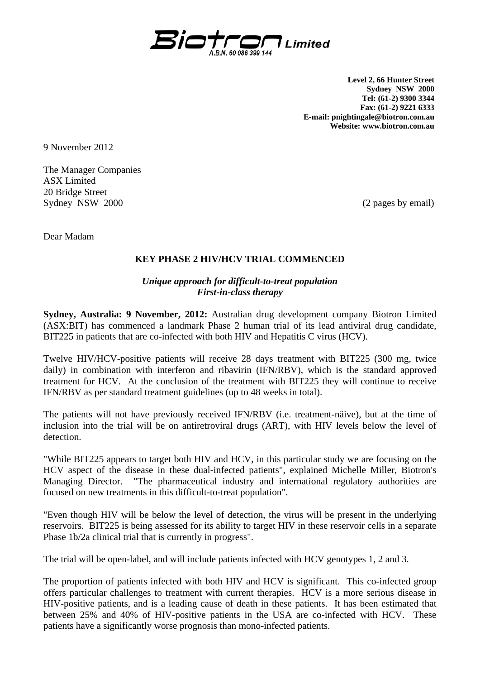

**Level 2, 66 Hunter Street Sydney NSW 2000 Tel: (61-2) 9300 3344 Fax: (61-2) 9221 6333 E-mail: pnightingale@biotron.com.au Website: www.biotron.com.au** 

9 November 2012

The Manager Companies ASX Limited 20 Bridge Street Sydney NSW 2000 (2 pages by email)

Dear Madam

## **KEY PHASE 2 HIV/HCV TRIAL COMMENCED**

## *Unique approach for difficult-to-treat population First-in-class therapy*

**Sydney, Australia: 9 November, 2012:** Australian drug development company Biotron Limited (ASX:BIT) has commenced a landmark Phase 2 human trial of its lead antiviral drug candidate, BIT225 in patients that are co-infected with both HIV and Hepatitis C virus (HCV).

Twelve HIV/HCV-positive patients will receive 28 days treatment with BIT225 (300 mg, twice daily) in combination with interferon and ribavirin (IFN/RBV), which is the standard approved treatment for HCV. At the conclusion of the treatment with BIT225 they will continue to receive IFN/RBV as per standard treatment guidelines (up to 48 weeks in total).

The patients will not have previously received IFN/RBV (i.e. treatment-näive), but at the time of inclusion into the trial will be on antiretroviral drugs (ART), with HIV levels below the level of detection.

"While BIT225 appears to target both HIV and HCV, in this particular study we are focusing on the HCV aspect of the disease in these dual-infected patients", explained Michelle Miller, Biotron's Managing Director. "The pharmaceutical industry and international regulatory authorities are focused on new treatments in this difficult-to-treat population".

"Even though HIV will be below the level of detection, the virus will be present in the underlying reservoirs. BIT225 is being assessed for its ability to target HIV in these reservoir cells in a separate Phase 1b/2a clinical trial that is currently in progress".

The trial will be open-label, and will include patients infected with HCV genotypes 1, 2 and 3.

The proportion of patients infected with both HIV and HCV is significant. This co-infected group offers particular challenges to treatment with current therapies. HCV is a more serious disease in HIV-positive patients, and is a leading cause of death in these patients. It has been estimated that between 25% and 40% of HIV-positive patients in the USA are co-infected with HCV. These patients have a significantly worse prognosis than mono-infected patients.